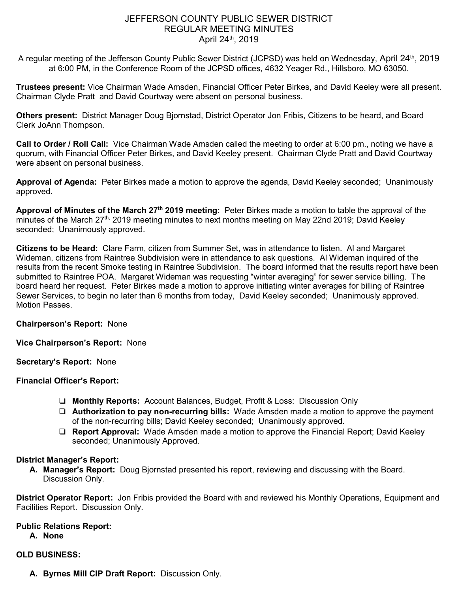# JEFFERSON COUNTY PUBLIC SEWER DISTRICT REGULAR MEETING MINUTES April 24th, 2019

A regular meeting of the Jefferson County Public Sewer District (JCPSD) was held on Wednesday, April 24<sup>th</sup>, 2019 at 6:00 PM, in the Conference Room of the JCPSD offices, 4632 Yeager Rd., Hillsboro, MO 63050.

**Trustees present:** Vice Chairman Wade Amsden, Financial Officer Peter Birkes, and David Keeley were all present. Chairman Clyde Pratt and David Courtway were absent on personal business.

**Others present:** District Manager Doug Bjornstad, District Operator Jon Fribis, Citizens to be heard, and Board Clerk JoAnn Thompson.

**Call to Order / Roll Call:** Vice Chairman Wade Amsden called the meeting to order at 6:00 pm., noting we have a quorum, with Financial Officer Peter Birkes, and David Keeley present. Chairman Clyde Pratt and David Courtway were absent on personal business.

**Approval of Agenda:** Peter Birkes made a motion to approve the agenda, David Keeley seconded; Unanimously approved.

**Approval of Minutes of the March 27th 2019 meeting:** Peter Birkes made a motion to table the approval of the minutes of the March 27<sup>th,</sup> 2019 meeting minutes to next months meeting on May 22nd 2019; David Keeley seconded; Unanimously approved.

**Citizens to be Heard:** Clare Farm, citizen from Summer Set, was in attendance to listen. Al and Margaret Wideman, citizens from Raintree Subdivision were in attendance to ask questions. Al Wideman inquired of the results from the recent Smoke testing in Raintree Subdivision. The board informed that the results report have been submitted to Raintree POA. Margaret Wideman was requesting "winter averaging" for sewer service billing. The board heard her request. Peter Birkes made a motion to approve initiating winter averages for billing of Raintree Sewer Services, to begin no later than 6 months from today, David Keeley seconded; Unanimously approved. Motion Passes.

**Chairperson's Report:** None

**Vice Chairperson's Report:** None

**Secretary's Report:** None

**Financial Officer's Report:** 

- ❏ **Monthly Reports:** Account Balances, Budget, Profit & Loss: Discussion Only
- ❏ **Authorization to pay non-recurring bills:** Wade Amsden made a motion to approve the payment of the non-recurring bills; David Keeley seconded; Unanimously approved.
- ❏ **Report Approval:** Wade Amsden made a motion to approve the Financial Report; David Keeley seconded; Unanimously Approved.

# **District Manager's Report:**

**A. Manager's Report:** Doug Bjornstad presented his report, reviewing and discussing with the Board. Discussion Only.

**District Operator Report:** Jon Fribis provided the Board with and reviewed his Monthly Operations, Equipment and Facilities Report. Discussion Only.

**Public Relations Report:** 

**A. None**

# **OLD BUSINESS:**

**A. Byrnes Mill CIP Draft Report:** Discussion Only.